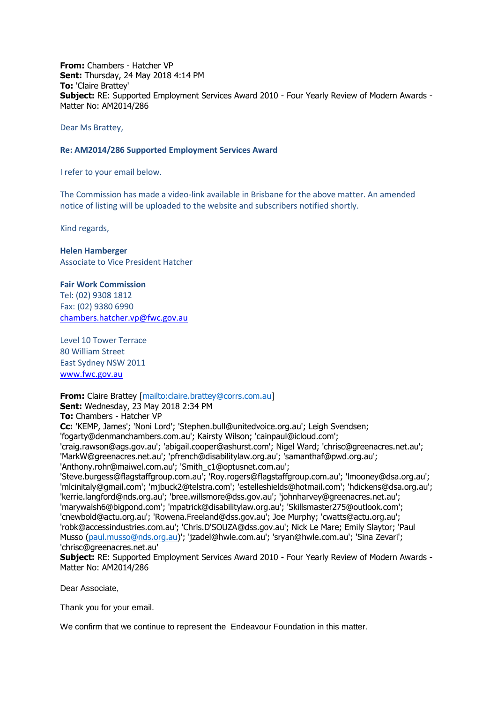**From:** Chambers - Hatcher VP **Sent:** Thursday, 24 May 2018 4:14 PM **To:** 'Claire Brattey' **Subject:** RE: Supported Employment Services Award 2010 - Four Yearly Review of Modern Awards - Matter No: AM2014/286

Dear Ms Brattey,

## **Re: AM2014/286 Supported Employment Services Award**

I refer to your email below.

The Commission has made a video-link available in Brisbane for the above matter. An amended notice of listing will be uploaded to the website and subscribers notified shortly.

Kind regards,

## **Helen Hamberger**

Associate to Vice President Hatcher

## **Fair Work Commission**

Tel: (02) 9308 1812 Fax: (02) 9380 6990 [chambers.hatcher.vp@fwc.gov.au](mailto:chambers.hatcher.vp@fwc.gov.au) 

Level 10 Tower Terrace 80 William Street East Sydney NSW 2011 [www.fwc.gov.au](http://www.fwc.gov.au/)

## **From:** Claire Brattey [\[mailto:claire.brattey@corrs.com.au\]](mailto:claire.brattey@corrs.com.au)

**Sent:** Wednesday, 23 May 2018 2:34 PM

**To:** Chambers - Hatcher VP

**Cc:** 'KEMP, James'; 'Noni Lord'; 'Stephen.bull@unitedvoice.org.au'; Leigh Svendsen;

'fogarty@denmanchambers.com.au'; Kairsty Wilson; 'cainpaul@icloud.com';

'craig.rawson@ags.gov.au'; 'abigail.cooper@ashurst.com'; Nigel Ward; 'chrisc@greenacres.net.au'; 'MarkW@greenacres.net.au'; 'pfrench@disabilitylaw.org.au'; 'samanthaf@pwd.org.au'; 'Anthony.rohr@maiwel.com.au'; 'Smith\_c1@optusnet.com.au';

'Steve.burgess@flagstaffgroup.com.au'; 'Roy.rogers@flagstaffgroup.com.au'; 'lmooney@dsa.org.au'; 'mlcinitaly@gmail.com'; 'mjbuck2@telstra.com'; 'estelleshields@hotmail.com'; 'hdickens@dsa.org.au'; 'kerrie.langford@nds.org.au'; 'bree.willsmore@dss.gov.au'; 'johnharvey@greenacres.net.au'; 'marywalsh6@bigpond.com'; 'mpatrick@disabilitylaw.org.au'; 'Skillsmaster275@outlook.com'; 'cnewbold@actu.org.au'; 'Rowena.Freeland@dss.gov.au'; Joe Murphy; 'cwatts@actu.org.au'; 'robk@accessindustries.com.au'; 'Chris.D'SOUZA@dss.gov.au'; Nick Le Mare; Emily Slaytor; 'Paul Musso [\(paul.musso@nds.org.au\)](mailto:paul.musso@nds.org.au)'; 'jzadel@hwle.com.au'; 'sryan@hwle.com.au'; 'Sina Zevari'; 'chrisc@greenacres.net.au'

**Subject:** RE: Supported Employment Services Award 2010 - Four Yearly Review of Modern Awards - Matter No: AM2014/286

Dear Associate,

Thank you for your email.

We confirm that we continue to represent the Endeavour Foundation in this matter.